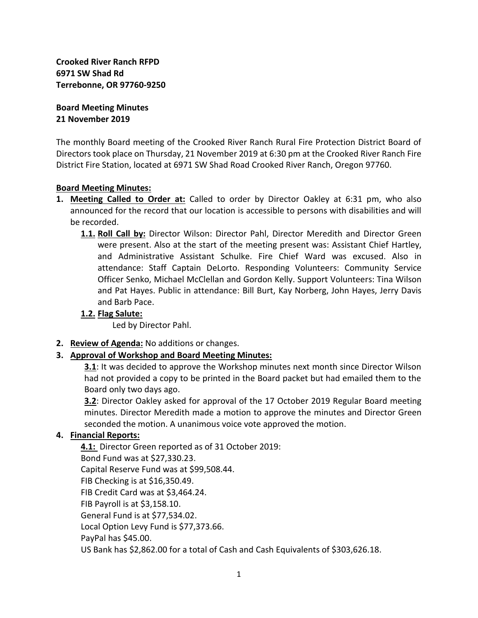**Crooked River Ranch RFPD 6971 SW Shad Rd Terrebonne, OR 97760-9250**

**Board Meeting Minutes 21 November 2019**

The monthly Board meeting of the Crooked River Ranch Rural Fire Protection District Board of Directors took place on Thursday, 21 November 2019 at 6:30 pm at the Crooked River Ranch Fire District Fire Station, located at 6971 SW Shad Road Crooked River Ranch, Oregon 97760.

#### **Board Meeting Minutes:**

- **1. Meeting Called to Order at:** Called to order by Director Oakley at 6:31 pm, who also announced for the record that our location is accessible to persons with disabilities and will be recorded.
	- **1.1. Roll Call by:** Director Wilson: Director Pahl, Director Meredith and Director Green were present. Also at the start of the meeting present was: Assistant Chief Hartley, and Administrative Assistant Schulke. Fire Chief Ward was excused. Also in attendance: Staff Captain DeLorto. Responding Volunteers: Community Service Officer Senko, Michael McClellan and Gordon Kelly. Support Volunteers: Tina Wilson and Pat Hayes. Public in attendance: Bill Burt, Kay Norberg, John Hayes, Jerry Davis and Barb Pace.

### **1.2. Flag Salute:**

Led by Director Pahl.

**2. Review of Agenda:** No additions or changes.

### **3. Approval of Workshop and Board Meeting Minutes:**

**3.1**: It was decided to approve the Workshop minutes next month since Director Wilson had not provided a copy to be printed in the Board packet but had emailed them to the Board only two days ago.

**3.2**: Director Oakley asked for approval of the 17 October 2019 Regular Board meeting minutes. Director Meredith made a motion to approve the minutes and Director Green seconded the motion. A unanimous voice vote approved the motion.

### **4. Financial Reports:**

**4.1:** Director Green reported as of 31 October 2019: Bond Fund was at \$27,330.23. Capital Reserve Fund was at \$99,508.44. FIB Checking is at \$16,350.49. FIB Credit Card was at \$3,464.24. FIB Payroll is at \$3,158.10. General Fund is at \$77,534.02. Local Option Levy Fund is \$77,373.66. PayPal has \$45.00. US Bank has \$2,862.00 for a total of Cash and Cash Equivalents of \$303,626.18.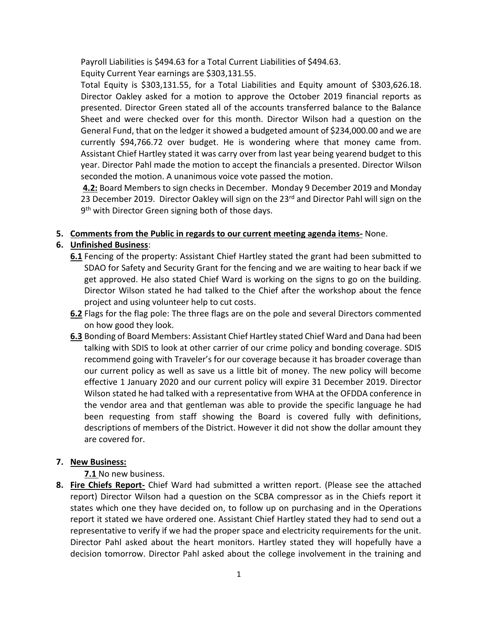Payroll Liabilities is \$494.63 for a Total Current Liabilities of \$494.63.

Equity Current Year earnings are \$303,131.55.

Total Equity is \$303,131.55, for a Total Liabilities and Equity amount of \$303,626.18. Director Oakley asked for a motion to approve the October 2019 financial reports as presented. Director Green stated all of the accounts transferred balance to the Balance Sheet and were checked over for this month. Director Wilson had a question on the General Fund, that on the ledger it showed a budgeted amount of \$234,000.00 and we are currently \$94,766.72 over budget. He is wondering where that money came from. Assistant Chief Hartley stated it was carry over from last year being yearend budget to this year. Director Pahl made the motion to accept the financials a presented. Director Wilson seconded the motion. A unanimous voice vote passed the motion.

**4.2:** Board Members to sign checks in December. Monday 9 December 2019 and Monday 23 December 2019. Director Oakley will sign on the 23<sup>rd</sup> and Director Pahl will sign on the 9<sup>th</sup> with Director Green signing both of those days.

## **5. Comments from the Public in regards to our current meeting agenda items-** None.

# **6. Unfinished Business**:

- **6.1** Fencing of the property: Assistant Chief Hartley stated the grant had been submitted to SDAO for Safety and Security Grant for the fencing and we are waiting to hear back if we get approved. He also stated Chief Ward is working on the signs to go on the building. Director Wilson stated he had talked to the Chief after the workshop about the fence project and using volunteer help to cut costs.
- **6.2** Flags for the flag pole: The three flags are on the pole and several Directors commented on how good they look.
- **6.3** Bonding of Board Members: Assistant Chief Hartley stated Chief Ward and Dana had been talking with SDIS to look at other carrier of our crime policy and bonding coverage. SDIS recommend going with Traveler's for our coverage because it has broader coverage than our current policy as well as save us a little bit of money. The new policy will become effective 1 January 2020 and our current policy will expire 31 December 2019. Director Wilson stated he had talked with a representative from WHA at the OFDDA conference in the vendor area and that gentleman was able to provide the specific language he had been requesting from staff showing the Board is covered fully with definitions, descriptions of members of the District. However it did not show the dollar amount they are covered for.

## **7. New Business:**

**7.1** No new business.

**8. Fire Chiefs Report-** Chief Ward had submitted a written report. (Please see the attached report) Director Wilson had a question on the SCBA compressor as in the Chiefs report it states which one they have decided on, to follow up on purchasing and in the Operations report it stated we have ordered one. Assistant Chief Hartley stated they had to send out a representative to verify if we had the proper space and electricity requirements for the unit. Director Pahl asked about the heart monitors. Hartley stated they will hopefully have a decision tomorrow. Director Pahl asked about the college involvement in the training and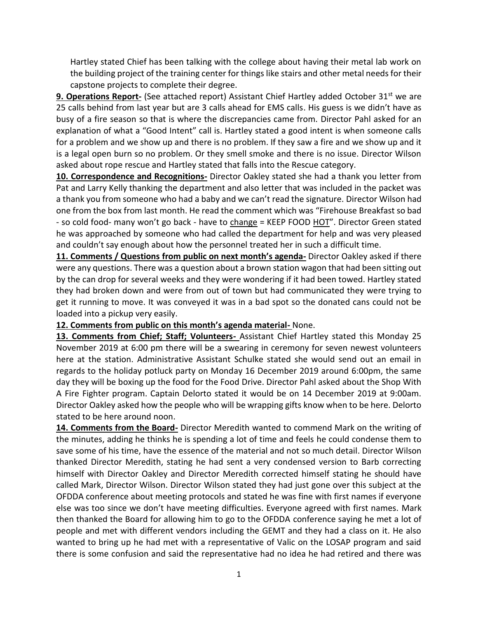Hartley stated Chief has been talking with the college about having their metal lab work on the building project of the training center for things like stairs and other metal needs for their capstone projects to complete their degree.

**9. Operations Report-** (See attached report) Assistant Chief Hartley added October 31<sup>st</sup> we are 25 calls behind from last year but are 3 calls ahead for EMS calls. His guess is we didn't have as busy of a fire season so that is where the discrepancies came from. Director Pahl asked for an explanation of what a "Good Intent" call is. Hartley stated a good intent is when someone calls for a problem and we show up and there is no problem. If they saw a fire and we show up and it is a legal open burn so no problem. Or they smell smoke and there is no issue. Director Wilson asked about rope rescue and Hartley stated that falls into the Rescue category.

**10. Correspondence and Recognitions-** Director Oakley stated she had a thank you letter from Pat and Larry Kelly thanking the department and also letter that was included in the packet was a thank you from someone who had a baby and we can't read the signature. Director Wilson had one from the box from last month. He read the comment which was "Firehouse Breakfast so bad - so cold food- many won't go back - have to change = KEEP FOOD HOT". Director Green stated he was approached by someone who had called the department for help and was very pleased and couldn't say enough about how the personnel treated her in such a difficult time.

**11. Comments / Questions from public on next month's agenda-** Director Oakley asked if there were any questions. There was a question about a brown station wagon that had been sitting out by the can drop for several weeks and they were wondering if it had been towed. Hartley stated they had broken down and were from out of town but had communicated they were trying to get it running to move. It was conveyed it was in a bad spot so the donated cans could not be loaded into a pickup very easily.

#### **12. Comments from public on this month's agenda material-** None.

**13. Comments from Chief; Staff; Volunteers-** Assistant Chief Hartley stated this Monday 25 November 2019 at 6:00 pm there will be a swearing in ceremony for seven newest volunteers here at the station. Administrative Assistant Schulke stated she would send out an email in regards to the holiday potluck party on Monday 16 December 2019 around 6:00pm, the same day they will be boxing up the food for the Food Drive. Director Pahl asked about the Shop With A Fire Fighter program. Captain Delorto stated it would be on 14 December 2019 at 9:00am. Director Oakley asked how the people who will be wrapping gifts know when to be here. Delorto stated to be here around noon.

**14. Comments from the Board-** Director Meredith wanted to commend Mark on the writing of the minutes, adding he thinks he is spending a lot of time and feels he could condense them to save some of his time, have the essence of the material and not so much detail. Director Wilson thanked Director Meredith, stating he had sent a very condensed version to Barb correcting himself with Director Oakley and Director Meredith corrected himself stating he should have called Mark, Director Wilson. Director Wilson stated they had just gone over this subject at the OFDDA conference about meeting protocols and stated he was fine with first names if everyone else was too since we don't have meeting difficulties. Everyone agreed with first names. Mark then thanked the Board for allowing him to go to the OFDDA conference saying he met a lot of people and met with different vendors including the GEMT and they had a class on it. He also wanted to bring up he had met with a representative of Valic on the LOSAP program and said there is some confusion and said the representative had no idea he had retired and there was